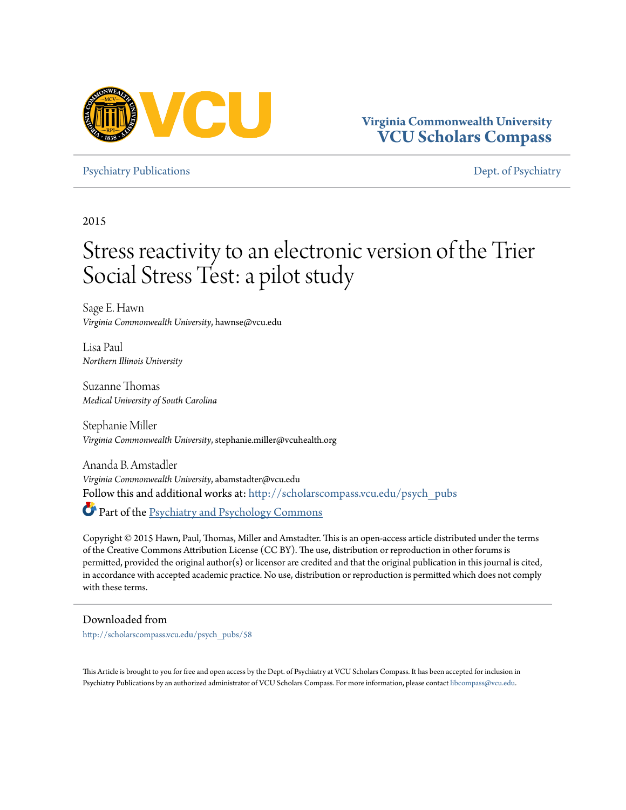

[Psychiatry Publications](http://scholarscompass.vcu.edu/psych_pubs?utm_source=scholarscompass.vcu.edu%2Fpsych_pubs%2F58&utm_medium=PDF&utm_campaign=PDFCoverPages) **[Dept. of Psychiatry](http://scholarscompass.vcu.edu/psych?utm_source=scholarscompass.vcu.edu%2Fpsych_pubs%2F58&utm_medium=PDF&utm_campaign=PDFCoverPages)** Psychiatry Publications **Dept. of Psychiatry** 

2015

# Stress reactivity to an electronic version of the Trier Social Stress Test: a pilot study

Sage E. Hawn *Virginia Commonwealth University*, hawnse@vcu.edu

Lisa Paul *Northern Illinois University*

Suzanne Thomas *Medical University of South Carolina*

Stephanie Miller *Virginia Commonwealth University*, stephanie.miller@vcuhealth.org

Ananda B. Amstadler *Virginia Commonwealth University*, abamstadter@vcu.edu Follow this and additional works at: [http://scholarscompass.vcu.edu/psych\\_pubs](http://scholarscompass.vcu.edu/psych_pubs?utm_source=scholarscompass.vcu.edu%2Fpsych_pubs%2F58&utm_medium=PDF&utm_campaign=PDFCoverPages)

Part of the [Psychiatry and Psychology Commons](http://network.bepress.com/hgg/discipline/908?utm_source=scholarscompass.vcu.edu%2Fpsych_pubs%2F58&utm_medium=PDF&utm_campaign=PDFCoverPages)

Copyright © 2015 Hawn, Paul, Thomas, Miller and Amstadter. This is an open-access article distributed under the terms of the Creative Commons Attribution License (CC BY). The use, distribution or reproduction in other forums is permitted, provided the original author(s) or licensor are credited and that the original publication in this journal is cited, in accordance with accepted academic practice. No use, distribution or reproduction is permitted which does not comply with these terms.

Downloaded from

[http://scholarscompass.vcu.edu/psych\\_pubs/58](http://scholarscompass.vcu.edu/psych_pubs/58?utm_source=scholarscompass.vcu.edu%2Fpsych_pubs%2F58&utm_medium=PDF&utm_campaign=PDFCoverPages)

This Article is brought to you for free and open access by the Dept. of Psychiatry at VCU Scholars Compass. It has been accepted for inclusion in Psychiatry Publications by an authorized administrator of VCU Scholars Compass. For more information, please contact [libcompass@vcu.edu.](mailto:libcompass@vcu.edu)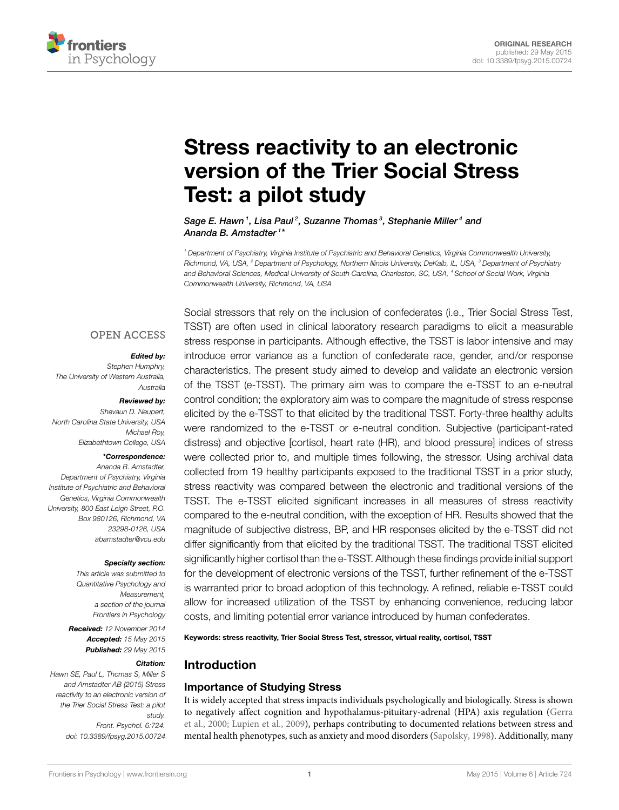

# **[Stress reactivity to an electronic](http://journal.frontiersin.org/article/10.3389/fpsyg.2015.00724/abstract) [version of the Trier Social Stress](http://journal.frontiersin.org/article/10.3389/fpsyg.2015.00724/abstract) [Test: a pilot study](http://journal.frontiersin.org/article/10.3389/fpsyg.2015.00724/abstract)**

*[Sage E. Hawn](http://community.frontiersin.org/people/u/192463) <sup>1</sup> , [Lisa Paul](http://community.frontiersin.org/people/u/239770) <sup>2</sup> , Suzanne Thomas <sup>3</sup> , Stephanie Miller <sup>4</sup> and [Ananda B. Amstadter](http://community.frontiersin.org/people/u/28522) <sup>1</sup> \**

*<sup>1</sup> Department of Psychiatry, Virginia Institute of Psychiatric and Behavioral Genetics, Virginia Commonwealth University, Richmond, VA, USA, <sup>2</sup> Department of Psychology, Northern Illinois University, DeKalb, IL, USA, <sup>3</sup> Department of Psychiatry and Behavioral Sciences, Medical University of South Carolina, Charleston, SC, USA, <sup>4</sup> School of Social Work, Virginia Commonwealth University, Richmond, VA, USA*

## **OPEN ACCESS**

#### *Edited by:*

*Stephen Humphry, The University of Western Australia, Australia*

#### *Reviewed by:*

*Shevaun D. Neupert, North Carolina State University, USA Michael Roy, Elizabethtown College, USA*

#### *\*Correspondence:*

*Ananda B. Amstadter, Department of Psychiatry, Virginia Institute of Psychiatric and Behavioral Genetics, Virginia Commonwealth University, 800 East Leigh Street, P.O. Box 980126, Richmond, VA 23298-0126, USA [abamstadter@vcu.edu](mailto:abamstadter@vcu.edu)*

#### *Specialty section:*

*This article was submitted to Quantitative Psychology and Measurement, a section of the journal Frontiers in Psychology*

*Received: 12 November 2014 Accepted: 15 May 2015 Published: 29 May 2015*

#### *Citation:*

*Hawn SE, Paul L, Thomas S, Miller S and Amstadter AB (2015) Stress reactivity to an electronic version of the Trier Social Stress Test: a pilot study. Front. Psychol. 6:724. [doi: 10.3389/fpsyg.2015.00724](http://dx.doi.org/10.3389/fpsyg.2015.00724)*

Social stressors that rely on the inclusion of confederates (i.e., Trier Social Stress Test, TSST) are often used in clinical laboratory research paradigms to elicit a measurable stress response in participants. Although effective, the TSST is labor intensive and may introduce error variance as a function of confederate race, gender, and/or response characteristics. The present study aimed to develop and validate an electronic version of the TSST (e-TSST). The primary aim was to compare the e-TSST to an e-neutral control condition; the exploratory aim was to compare the magnitude of stress response elicited by the e-TSST to that elicited by the traditional TSST. Forty-three healthy adults were randomized to the e-TSST or e-neutral condition. Subjective (participant-rated distress) and objective [cortisol, heart rate (HR), and blood pressure] indices of stress were collected prior to, and multiple times following, the stressor. Using archival data collected from 19 healthy participants exposed to the traditional TSST in a prior study, stress reactivity was compared between the electronic and traditional versions of the TSST. The e-TSST elicited significant increases in all measures of stress reactivity compared to the e-neutral condition, with the exception of HR. Results showed that the magnitude of subjective distress, BP, and HR responses elicited by the e-TSST did not differ significantly from that elicited by the traditional TSST. The traditional TSST elicited significantly higher cortisol than the e-TSST. Although these findings provide initial support for the development of electronic versions of the TSST, further refinement of the e-TSST is warranted prior to broad adoption of this technology. A refined, reliable e-TSST could allow for increased utilization of the TSST by enhancing convenience, reducing labor costs, and limiting potential error variance introduced by human confederates.

**Keywords: stress reactivity, Trier Social Stress Test, stressor, virtual reality, cortisol, TSST**

# **Introduction**

### **Importance of Studying Stress**

It is widely accepted that stress impacts individuals psychologically and biologically. Stress is shown to negatively affect cognition and hypothalamus-pituitary-adrenal (HPA) axis regulation [\(Gerra](#page-7-0) [et al.](#page-7-0), [2000](#page-7-0); [Lupien et al.](#page-8-0), [2009](#page-8-0)), perhaps contributing to documented relations between stress and mental health phenotypes, such as anxiety and mood disorders([Sapolsky](#page-8-1), [1998](#page-8-1)). Additionally, many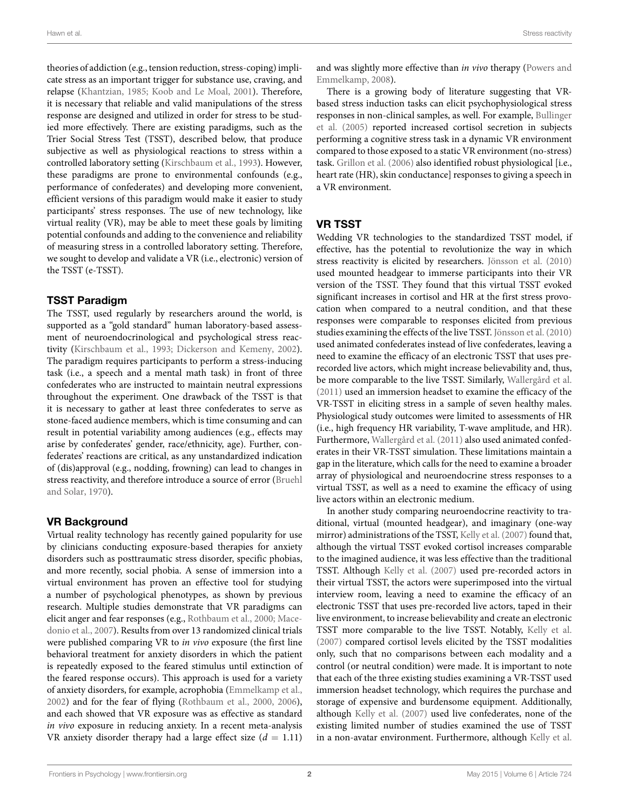theories of addiction (e.g., tension reduction, stress-coping) implicate stress as an important trigger for substance use, craving, and relapse([Khantzian](#page-8-2), [1985;](#page-8-2) [Koob and Le Moal](#page-8-3), [2001\)](#page-8-3). Therefore, it is necessary that reliable and valid manipulations of the stress response are designed and utilized in order for stress to be studied more effectively. There are existing paradigms, such as the Trier Social Stress Test (TSST), described below, that produce subjective as well as physiological reactions to stress within a controlled laboratory setting [\(Kirschbaum et al.,](#page-8-4) [1993\)](#page-8-4). However, these paradigms are prone to environmental confounds (e.g., performance of confederates) and developing more convenient, efficient versions of this paradigm would make it easier to study participants' stress responses. The use of new technology, like virtual reality (VR), may be able to meet these goals by limiting potential confounds and adding to the convenience and reliability of measuring stress in a controlled laboratory setting. Therefore, we sought to develop and validate a VR (i.e., electronic) version of the TSST (e-TSST).

## **TSST Paradigm**

The TSST, used regularly by researchers around the world, is supported as a "gold standard" human laboratory-based assessment of neuroendocrinological and psychological stress reactivity [\(Kirschbaum et al.](#page-8-4), [1993](#page-8-4); [Dickerson and Kemeny,](#page-7-1) [2002](#page-7-1)). The paradigm requires participants to perform a stress-inducing task (i.e., a speech and a mental math task) in front of three confederates who are instructed to maintain neutral expressions throughout the experiment. One drawback of the TSST is that it is necessary to gather at least three confederates to serve as stone-faced audience members, which is time consuming and can result in potential variability among audiences (e.g., effects may arise by confederates' gender, race/ethnicity, age). Further, confederates' reactions are critical, as any unstandardized indication of (dis)approval (e.g., nodding, frowning) can lead to changes in stress reactivity, and therefore introduce a source of error [\(Bruehl](#page-7-2) [and Solar,](#page-7-2) [1970](#page-7-2)).

# **VR Background**

Virtual reality technology has recently gained popularity for use by clinicians conducting exposure-based therapies for anxiety disorders such as posttraumatic stress disorder, specific phobias, and more recently, social phobia. A sense of immersion into a virtual environment has proven an effective tool for studying a number of psychological phenotypes, as shown by previous research. Multiple studies demonstrate that VR paradigms can elicit anger and fear responses (e.g., [Rothbaum et al.](#page-8-5), [2000;](#page-8-5) [Mace](#page-8-6)[donio et al.,](#page-8-6) [2007\)](#page-8-6). Results from over 13 randomized clinical trials were published comparing VR to *in vivo* exposure (the first line behavioral treatment for anxiety disorders in which the patient is repeatedly exposed to the feared stimulus until extinction of the feared response occurs). This approach is used for a variety of anxiety disorders, for example, acrophobia [\(Emmelkamp et al.,](#page-7-3) [2002](#page-7-3)) and for the fear of flying [\(Rothbaum et al.,](#page-8-5) [2000,](#page-8-5) [2006](#page-8-7)), and each showed that VR exposure was as effective as standard *in vivo* exposure in reducing anxiety. In a recent meta-analysis VR anxiety disorder therapy had a large effect size  $(d = 1.11)$  and was slightly more effective than *in vivo* therapy [\(Powers and](#page-8-8) [Emmelkamp](#page-8-8), [2008](#page-8-8)).

There is a growing body of literature suggesting that VRbased stress induction tasks can elicit psychophysiological stress responses in non-clinical samples, as well. For example, [Bullinger](#page-7-4) [et al.](#page-7-4) [\(2005\)](#page-7-4) reported increased cortisol secretion in subjects performing a cognitive stress task in a dynamic VR environment compared to those exposed to a static VR environment (no-stress) task. [Grillon et al.](#page-7-5) ([2006\)](#page-7-5) also identified robust physiological [i.e., heart rate (HR), skin conductance] responses to giving a speech in a VR environment.

## **VR TSST**

Wedding VR technologies to the standardized TSST model, if effective, has the potential to revolutionize the way in which stress reactivity is elicited by researchers. [Jönsson et al.](#page-7-6) ([2010\)](#page-7-6) used mounted headgear to immerse participants into their VR version of the TSST. They found that this virtual TSST evoked significant increases in cortisol and HR at the first stress provocation when compared to a neutral condition, and that these responses were comparable to responses elicited from previous studies examining the effects of the live TSST. [Jönsson et al.](#page-7-6) ([2010\)](#page-7-6) used animated confederates instead of live confederates, leaving a need to examine the efficacy of an electronic TSST that uses prerecorded live actors, which might increase believability and, thus, be more comparable to the live TSST. Similarly, [Wallergård et al.](#page-8-9) ([2011\)](#page-8-9) used an immersion headset to examine the efficacy of the VR-TSST in eliciting stress in a sample of seven healthy males. Physiological study outcomes were limited to assessments of HR (i.e., high frequency HR variability, T-wave amplitude, and HR). Furthermore, [Wallergård et al.](#page-8-9) ([2011\)](#page-8-9) also used animated confederates in their VR-TSST simulation. These limitations maintain a gap in the literature, which calls for the need to examine a broader array of physiological and neuroendocrine stress responses to a virtual TSST, as well as a need to examine the efficacy of using live actors within an electronic medium.

In another study comparing neuroendocrine reactivity to traditional, virtual (mounted headgear), and imaginary (one-way mirror) administrations of the TSST, [Kelly et al.](#page-8-10) ([2007\)](#page-8-10) found that, although the virtual TSST evoked cortisol increases comparable to the imagined audience, it was less effective than the traditional TSST. Although [Kelly et al.](#page-8-10) ([2007\)](#page-8-10) used pre-recorded actors in their virtual TSST, the actors were superimposed into the virtual interview room, leaving a need to examine the efficacy of an electronic TSST that uses pre-recorded live actors, taped in their live environment, to increase believability and create an electronic TSST more comparable to the live TSST. Notably, [Kelly et al.](#page-8-10) ([2007\)](#page-8-10) compared cortisol levels elicited by the TSST modalities only, such that no comparisons between each modality and a control (or neutral condition) were made. It is important to note that each of the three existing studies examining a VR-TSST used immersion headset technology, which requires the purchase and storage of expensive and burdensome equipment. Additionally, although [Kelly et al.](#page-8-10) ([2007\)](#page-8-10) used live confederates, none of the existing limited number of studies examined the use of TSST in a non-avatar environment. Furthermore, although [Kelly et al.](#page-8-10)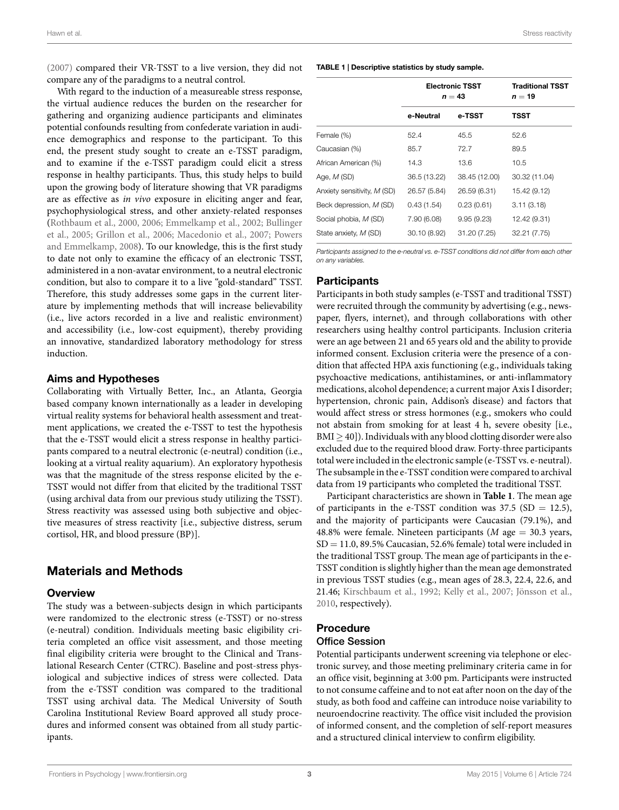[\(2007\)](#page-8-10) compared their VR-TSST to a live version, they did not compare any of the paradigms to a neutral control.

With regard to the induction of a measureable stress response, the virtual audience reduces the burden on the researcher for gathering and organizing audience participants and eliminates potential confounds resulting from confederate variation in audience demographics and response to the participant. To this end, the present study sought to create an e-TSST paradigm, and to examine if the e-TSST paradigm could elicit a stress response in healthy participants. Thus, this study helps to build upon the growing body of literature showing that VR paradigms are as effective as *in vivo* exposure in eliciting anger and fear, psychophysiological stress, and other anxiety-related responses [\(Rothbaum et al.](#page-8-5), [2000,](#page-8-5) [2006;](#page-8-7) [Emmelkamp et al.](#page-7-3), [2002](#page-7-3); [Bullinger](#page-7-4) [et al.,](#page-7-4) [2005](#page-7-4); [Grillon et al.,](#page-7-5) [2006](#page-7-5); [Macedonio et al.](#page-8-6), [2007](#page-8-6); [Powers](#page-8-8) [and Emmelkamp](#page-8-8), [2008\)](#page-8-8). To our knowledge, this is the first study to date not only to examine the efficacy of an electronic TSST, administered in a non-avatar environment, to a neutral electronic condition, but also to compare it to a live "gold-standard" TSST. Therefore, this study addresses some gaps in the current literature by implementing methods that will increase believability (i.e., live actors recorded in a live and realistic environment) and accessibility (i.e., low-cost equipment), thereby providing an innovative, standardized laboratory methodology for stress induction.

### **Aims and Hypotheses**

Collaborating with Virtually Better, Inc., an Atlanta, Georgia based company known internationally as a leader in developing virtual reality systems for behavioral health assessment and treatment applications, we created the e-TSST to test the hypothesis that the e-TSST would elicit a stress response in healthy participants compared to a neutral electronic (e-neutral) condition (i.e., looking at a virtual reality aquarium). An exploratory hypothesis was that the magnitude of the stress response elicited by the e-TSST would not differ from that elicited by the traditional TSST (using archival data from our previous study utilizing the TSST). Stress reactivity was assessed using both subjective and objective measures of stress reactivity [i.e., subjective distress, serum cortisol, HR, and blood pressure (BP)].

# **Materials and Methods**

## **Overview**

The study was a between-subjects design in which participants were randomized to the electronic stress (e-TSST) or no-stress (e-neutral) condition. Individuals meeting basic eligibility criteria completed an office visit assessment, and those meeting final eligibility criteria were brought to the Clinical and Translational Research Center (CTRC). Baseline and post-stress physiological and subjective indices of stress were collected. Data from the e-TSST condition was compared to the traditional TSST using archival data. The Medical University of South Carolina Institutional Review Board approved all study procedures and informed consent was obtained from all study participants.

#### <span id="page-3-0"></span>**TABLE 1 | Descriptive statistics by study sample.**

|                             | <b>Electronic TSST</b><br>$n = 43$ |               | <b>Traditional TSST</b><br>$n=19$ |
|-----------------------------|------------------------------------|---------------|-----------------------------------|
|                             | e-Neutral                          | e-TSST        | <b>TSST</b>                       |
| Female (%)                  | 52.4                               | 45.5          | 52.6                              |
| Caucasian (%)               | 85.7                               | 72.7          | 89.5                              |
| African American (%)        | 14.3                               | 13.6          | 10.5                              |
| Age, $M$ (SD)               | 36.5 (13.22)                       | 38.45 (12.00) | 30.32 (11.04)                     |
| Anxiety sensitivity, M (SD) | 26.57 (5.84)                       | 26.59 (6.31)  | 15.42 (9.12)                      |
| Beck depression, M (SD)     | 0.43(1.54)                         | 0.23(0.61)    | 3.11(3.18)                        |
| Social phobia, M (SD)       | 7.90 (6.08)                        | 9.95(9.23)    | 12.42 (9.31)                      |
| State anxiety, M (SD)       | 30.10 (8.92)                       | 31.20 (7.25)  | 32.21 (7.75)                      |

*Participants assigned to the e-neutral vs. e-TSST conditions did not differ from each other on any variables.*

#### **Participants**

Participants in both study samples (e-TSST and traditional TSST) were recruited through the community by advertising (e.g., newspaper, flyers, internet), and through collaborations with other researchers using healthy control participants. Inclusion criteria were an age between 21 and 65 years old and the ability to provide informed consent. Exclusion criteria were the presence of a condition that affected HPA axis functioning (e.g., individuals taking psychoactive medications, antihistamines, or anti-inflammatory medications, alcohol dependence; a current major Axis I disorder; hypertension, chronic pain, Addison's disease) and factors that would affect stress or stress hormones (e.g., smokers who could not abstain from smoking for at least 4 h, severe obesity [i.e., BMI  $>$  40]). Individuals with any blood clotting disorder were also excluded due to the required blood draw. Forty-three participants total were included in the electronic sample (e-TSST vs. e-neutral). The subsample in the e-TSST condition were compared to archival data from 19 participants who completed the traditional TSST.

Participant characteristics are shown in **[Table 1](#page-3-0)**. The mean age of participants in the e-TSST condition was  $37.5$  (SD = 12.5), and the majority of participants were Caucasian (79.1%), and 48.8% were female. Nineteen participants (*M* age = 30.3 years,  $SD = 11.0$ , 89.5% Caucasian, 52.6% female) total were included in the traditional TSST group. The mean age of participants in the e-TSST condition is slightly higher than the mean age demonstrated in previous TSST studies (e.g., mean ages of 28.3, 22.4, 22.6, and 21.46; [Kirschbaum et al.](#page-8-11), [1992;](#page-8-11) [Kelly et al.,](#page-8-10) [2007](#page-8-10); [Jönsson et al.](#page-7-6), [2010,](#page-7-6) respectively).

### **Procedure**

#### Office Session

Potential participants underwent screening via telephone or electronic survey, and those meeting preliminary criteria came in for an office visit, beginning at 3:00 pm. Participants were instructed to not consume caffeine and to not eat after noon on the day of the study, as both food and caffeine can introduce noise variability to neuroendocrine reactivity. The office visit included the provision of informed consent, and the completion of self-report measures and a structured clinical interview to confirm eligibility.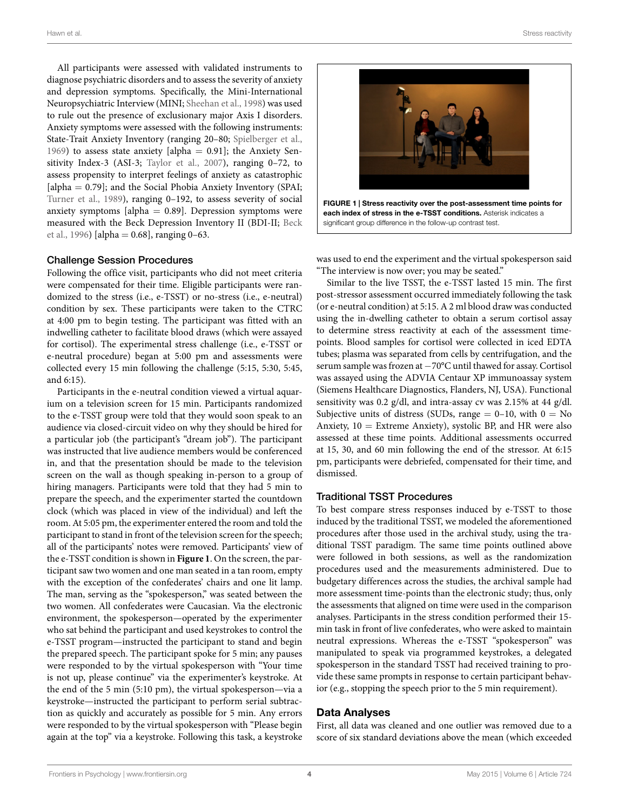All participants were assessed with validated instruments to diagnose psychiatric disorders and to assess the severity of anxiety and depression symptoms. Specifically, the Mini-International Neuropsychiatric Interview (MINI; [Sheehan et al.](#page-8-12), [1998](#page-8-12)) was used to rule out the presence of exclusionary major Axis I disorders. Anxiety symptoms were assessed with the following instruments: State-Trait Anxiety Inventory (ranging 20–80; [Spielberger et al.,](#page-8-13) [1969](#page-8-13)) to assess state anxiety [alpha =  $0.91$ ]; the Anxiety Sensitivity Index-3 (ASI-3; [Taylor et al.,](#page-8-14) [2007](#page-8-14)), ranging 0–72, to assess propensity to interpret feelings of anxiety as catastrophic [alpha = 0.79]; and the Social Phobia Anxiety Inventory (SPAI; [Turner et al.](#page-8-15), [1989\)](#page-8-15), ranging 0–192, to assess severity of social anxiety symptoms [alpha  $= 0.89$ ]. Depression symptoms were measured with the Beck Depression Inventory II (BDI-II; [Beck](#page-7-7) [et al.,](#page-7-7) [1996](#page-7-7)) [alpha =  $0.68$ ], ranging  $0-63$ .

#### Challenge Session Procedures

Following the office visit, participants who did not meet criteria were compensated for their time. Eligible participants were randomized to the stress (i.e., e-TSST) or no-stress (i.e., e-neutral) condition by sex. These participants were taken to the CTRC at 4:00 pm to begin testing. The participant was fitted with an indwelling catheter to facilitate blood draws (which were assayed for cortisol). The experimental stress challenge (i.e., e-TSST or e-neutral procedure) began at 5:00 pm and assessments were collected every 15 min following the challenge (5:15, 5:30, 5:45, and 6:15).

Participants in the e-neutral condition viewed a virtual aquarium on a television screen for 15 min. Participants randomized to the e-TSST group were told that they would soon speak to an audience via closed-circuit video on why they should be hired for a particular job (the participant's "dream job"). The participant was instructed that live audience members would be conferenced in, and that the presentation should be made to the television screen on the wall as though speaking in-person to a group of hiring managers. Participants were told that they had 5 min to prepare the speech, and the experimenter started the countdown clock (which was placed in view of the individual) and left the room. At 5:05 pm, the experimenter entered the room and told the participant to stand in front of the television screen for the speech; all of the participants' notes were removed. Participants' view of the e-TSST condition is shown in **[Figure 1](#page-4-0)**. On the screen, the participant saw two women and one man seated in a tan room, empty with the exception of the confederates' chairs and one lit lamp. The man, serving as the "spokesperson," was seated between the two women. All confederates were Caucasian. Via the electronic environment, the spokesperson—operated by the experimenter who sat behind the participant and used keystrokes to control the e-TSST program—instructed the participant to stand and begin the prepared speech. The participant spoke for 5 min; any pauses were responded to by the virtual spokesperson with "Your time is not up, please continue" via the experimenter's keystroke. At the end of the 5 min (5:10 pm), the virtual spokesperson—via a keystroke—instructed the participant to perform serial subtraction as quickly and accurately as possible for 5 min. Any errors were responded to by the virtual spokesperson with "Please begin again at the top" via a keystroke. Following this task, a keystroke



<span id="page-4-0"></span>was used to end the experiment and the virtual spokesperson said "The interview is now over; you may be seated."

Similar to the live TSST, the e-TSST lasted 15 min. The first post-stressor assessment occurred immediately following the task (or e-neutral condition) at 5:15. A 2 ml blood draw was conducted using the in-dwelling catheter to obtain a serum cortisol assay to determine stress reactivity at each of the assessment timepoints. Blood samples for cortisol were collected in iced EDTA tubes; plasma was separated from cells by centrifugation, and the serum sample was frozen at *−*70°C until thawed for assay. Cortisol was assayed using the ADVIA Centaur XP immunoassay system (Siemens Healthcare Diagnostics, Flanders, NJ, USA). Functional sensitivity was 0.2 g/dl, and intra-assay cv was 2.15% at 44 g/dl. Subjective units of distress (SUDs, range  $= 0-10$ , with  $0 = No$ Anxiety,  $10 =$  Extreme Anxiety), systolic BP, and HR were also assessed at these time points. Additional assessments occurred at 15, 30, and 60 min following the end of the stressor. At 6:15 pm, participants were debriefed, compensated for their time, and dismissed.

#### Traditional TSST Procedures

To best compare stress responses induced by e-TSST to those induced by the traditional TSST, we modeled the aforementioned procedures after those used in the archival study, using the traditional TSST paradigm. The same time points outlined above were followed in both sessions, as well as the randomization procedures used and the measurements administered. Due to budgetary differences across the studies, the archival sample had more assessment time-points than the electronic study; thus, only the assessments that aligned on time were used in the comparison analyses. Participants in the stress condition performed their 15 min task in front of live confederates, who were asked to maintain neutral expressions. Whereas the e-TSST "spokesperson" was manipulated to speak via programmed keystrokes, a delegated spokesperson in the standard TSST had received training to provide these same prompts in response to certain participant behavior (e.g., stopping the speech prior to the 5 min requirement).

#### **Data Analyses**

First, all data was cleaned and one outlier was removed due to a score of six standard deviations above the mean (which exceeded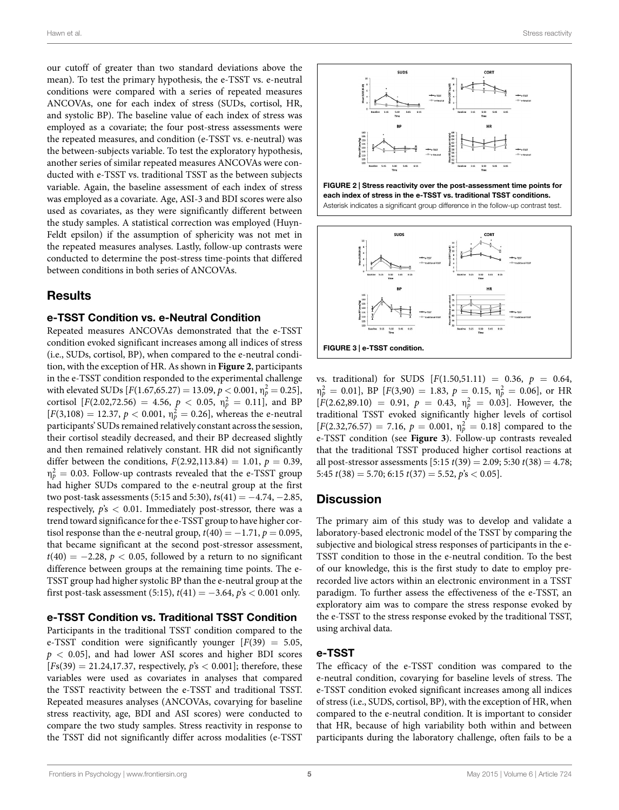our cutoff of greater than two standard deviations above the mean). To test the primary hypothesis, the e-TSST vs. e-neutral conditions were compared with a series of repeated measures ANCOVAs, one for each index of stress (SUDs, cortisol, HR, and systolic BP). The baseline value of each index of stress was employed as a covariate; the four post-stress assessments were the repeated measures, and condition (e-TSST vs. e-neutral) was the between-subjects variable. To test the exploratory hypothesis, another series of similar repeated measures ANCOVAs were conducted with e-TSST vs. traditional TSST as the between subjects variable. Again, the baseline assessment of each index of stress was employed as a covariate. Age, ASI-3 and BDI scores were also used as covariates, as they were significantly different between the study samples. A statistical correction was employed (Huyn-Feldt epsilon) if the assumption of sphericity was not met in the repeated measures analyses. Lastly, follow-up contrasts were conducted to determine the post-stress time-points that differed between conditions in both series of ANCOVAs.

# **Results**

#### **e-TSST Condition vs. e-Neutral Condition**

Repeated measures ANCOVAs demonstrated that the e-TSST condition evoked significant increases among all indices of stress (i.e., SUDs, cortisol, BP), when compared to the e-neutral condition, with the exception of HR. As shown in **[Figure 2](#page-5-0)**, participants in the e-TSST condition responded to the experimental challenge with elevated SUDs  $[F(1.67,65.27) = 13.09, p < 0.001, \eta_p^2 = 0.25]$ , cortisol  $[F(2.02,72.56) = 4.56, p < 0.05, \eta_p^2 = 0.11]$ , and BP  $[F(3,108) = 12.37, p < 0.001, \eta_p^2 = 0.26]$ , whereas the e-neutral participants' SUDs remained relatively constant across the session, their cortisol steadily decreased, and their BP decreased slightly and then remained relatively constant. HR did not significantly differ between the conditions,  $F(2.92, 113.84) = 1.01$ ,  $p = 0.39$ ,  $\eta_p^2=$  0.03. Follow-up contrasts revealed that the e-TSST group had higher SUDs compared to the e-neutral group at the first two post-task assessments (5:15 and 5:30), *t*s(41) = *−*4.74, *−*2.85, respectively, *p*'s *<* 0.01. Immediately post-stressor, there was a trend toward significance for the e-TSST group to have higher cortisol response than the e-neutral group,  $t(40) = -1.71$ ,  $p = 0.095$ , that became significant at the second post-stressor assessment, *t*(40) = −2.28, *p* < 0.05, followed by a return to no significant difference between groups at the remaining time points. The e-TSST group had higher systolic BP than the e-neutral group at the first post-task assessment (5:15),  $t(41) = -3.64$ ,  $p's < 0.001$  only.

#### **e-TSST Condition vs. Traditional TSST Condition**

Participants in the traditional TSST condition compared to the e-TSST condition were significantly younger [*F*(39) = 5.05, *p <* 0.05], and had lower ASI scores and higher BDI scores  $[Fs(39) = 21.24, 17.37,$  respectively,  $\dot{p}s < 0.001$ ; therefore, these variables were used as covariates in analyses that compared the TSST reactivity between the e-TSST and traditional TSST. Repeated measures analyses (ANCOVAs, covarying for baseline stress reactivity, age, BDI and ASI scores) were conducted to compare the two study samples. Stress reactivity in response to the TSST did not significantly differ across modalities (e-TSST



<span id="page-5-0"></span>



<span id="page-5-1"></span>vs. traditional) for SUDS [*F*(1.50,51.11) = 0.36, *p* = 0.64,  $\eta_p^2 = 0.01$ , BP  $[F(3,90) = 1.83, p = 0.15, \eta_p^2 = 0.06]$ , or HR  $[F(2.62,89.10) = 0.91, p = 0.43, \eta_p^2 = 0.03]$ . However, the traditional TSST evoked significantly higher levels of cortisol  $[F(2.32,76.57) = 7.16, p = 0.001, \eta_p^2 = 0.18]$  compared to the e-TSST condition (see **[Figure 3](#page-5-1)**). Follow-up contrasts revealed that the traditional TSST produced higher cortisol reactions at all post-stressor assessments [5:15 *t*(39) = 2.09; 5:30 *t*(38) = 4.78; 5:45 *t*(38) = 5.70; 6:15 *t*(37) = 5.52, *p*'s *<* 0.05].

# **Discussion**

The primary aim of this study was to develop and validate a laboratory-based electronic model of the TSST by comparing the subjective and biological stress responses of participants in the e-TSST condition to those in the e-neutral condition. To the best of our knowledge, this is the first study to date to employ prerecorded live actors within an electronic environment in a TSST paradigm. To further assess the effectiveness of the e-TSST, an exploratory aim was to compare the stress response evoked by the e-TSST to the stress response evoked by the traditional TSST, using archival data.

## **e-TSST**

The efficacy of the e-TSST condition was compared to the e-neutral condition, covarying for baseline levels of stress. The e-TSST condition evoked significant increases among all indices of stress (i.e., SUDS, cortisol, BP), with the exception of HR, when compared to the e-neutral condition. It is important to consider that HR, because of high variability both within and between participants during the laboratory challenge, often fails to be a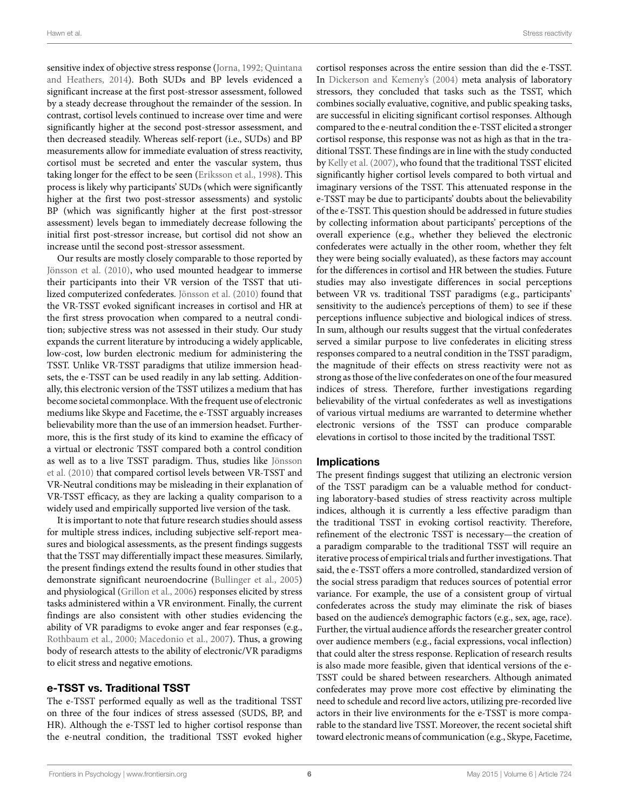sensitive index of objective stress response [\(Jorna,](#page-8-16) [1992;](#page-8-16) [Quintana](#page-8-17) [and Heathers](#page-8-17), [2014](#page-8-17)). Both SUDs and BP levels evidenced a significant increase at the first post-stressor assessment, followed by a steady decrease throughout the remainder of the session. In contrast, cortisol levels continued to increase over time and were significantly higher at the second post-stressor assessment, and then decreased steadily. Whereas self-report (i.e., SUDs) and BP measurements allow for immediate evaluation of stress reactivity, cortisol must be secreted and enter the vascular system, thus taking longer for the effect to be seen([Eriksson et al.,](#page-7-8) [1998](#page-7-8)). This process is likely why participants' SUDs (which were significantly higher at the first two post-stressor assessments) and systolic BP (which was significantly higher at the first post-stressor assessment) levels began to immediately decrease following the initial first post-stressor increase, but cortisol did not show an increase until the second post-stressor assessment.

Our results are mostly closely comparable to those reported by [Jönsson et al.](#page-7-6) ([2010\)](#page-7-6), who used mounted headgear to immerse their participants into their VR version of the TSST that utilized computerized confederates. [Jönsson et al.](#page-7-6) [\(2010](#page-7-6)) found that the VR-TSST evoked significant increases in cortisol and HR at the first stress provocation when compared to a neutral condition; subjective stress was not assessed in their study. Our study expands the current literature by introducing a widely applicable, low-cost, low burden electronic medium for administering the TSST. Unlike VR-TSST paradigms that utilize immersion headsets, the e-TSST can be used readily in any lab setting. Additionally, this electronic version of the TSST utilizes a medium that has become societal commonplace. With the frequent use of electronic mediums like Skype and Facetime, the e-TSST arguably increases believability more than the use of an immersion headset. Furthermore, this is the first study of its kind to examine the efficacy of a virtual or electronic TSST compared both a control condition as well as to a live TSST paradigm. Thus, studies like [Jönsson](#page-7-6) [et al.](#page-7-6) ([2010](#page-7-6)) that compared cortisol levels between VR-TSST and VR-Neutral conditions may be misleading in their explanation of VR-TSST efficacy, as they are lacking a quality comparison to a widely used and empirically supported live version of the task.

It is important to note that future research studies should assess for multiple stress indices, including subjective self-report measures and biological assessments, as the present findings suggests that the TSST may differentially impact these measures. Similarly, the present findings extend the results found in other studies that demonstrate significant neuroendocrine [\(Bullinger et al.,](#page-7-4) [2005\)](#page-7-4) and physiological [\(Grillon et al.,](#page-7-5) [2006\)](#page-7-5) responses elicited by stress tasks administered within a VR environment. Finally, the current findings are also consistent with other studies evidencing the ability of VR paradigms to evoke anger and fear responses (e.g., [Rothbaum et al.](#page-8-5), [2000](#page-8-5); [Macedonio et al.,](#page-8-6) [2007\)](#page-8-6). Thus, a growing body of research attests to the ability of electronic/VR paradigms to elicit stress and negative emotions.

#### **e-TSST vs. Traditional TSST**

The e-TSST performed equally as well as the traditional TSST on three of the four indices of stress assessed (SUDS, BP, and HR). Although the e-TSST led to higher cortisol response than the e-neutral condition, the traditional TSST evoked higher cortisol responses across the entire session than did the e-TSST. In [Dickerson and Kemeny's](#page-7-9) [\(2004](#page-7-9)) meta analysis of laboratory stressors, they concluded that tasks such as the TSST, which combines socially evaluative, cognitive, and public speaking tasks, are successful in eliciting significant cortisol responses. Although compared to the e-neutral condition the e-TSST elicited a stronger cortisol response, this response was not as high as that in the traditional TSST. These findings are in line with the study conducted by [Kelly et al.](#page-8-10) [\(2007\)](#page-8-10), who found that the traditional TSST elicited significantly higher cortisol levels compared to both virtual and imaginary versions of the TSST. This attenuated response in the e-TSST may be due to participants' doubts about the believability of the e-TSST. This question should be addressed in future studies by collecting information about participants' perceptions of the overall experience (e.g., whether they believed the electronic confederates were actually in the other room, whether they felt they were being socially evaluated), as these factors may account for the differences in cortisol and HR between the studies. Future studies may also investigate differences in social perceptions between VR vs. traditional TSST paradigms (e.g., participants' sensitivity to the audience's perceptions of them) to see if these perceptions influence subjective and biological indices of stress. In sum, although our results suggest that the virtual confederates served a similar purpose to live confederates in eliciting stress responses compared to a neutral condition in the TSST paradigm, the magnitude of their effects on stress reactivity were not as strong as those of the live confederates on one of the four measured indices of stress. Therefore, further investigations regarding believability of the virtual confederates as well as investigations of various virtual mediums are warranted to determine whether electronic versions of the TSST can produce comparable elevations in cortisol to those incited by the traditional TSST.

#### **Implications**

The present findings suggest that utilizing an electronic version of the TSST paradigm can be a valuable method for conducting laboratory-based studies of stress reactivity across multiple indices, although it is currently a less effective paradigm than the traditional TSST in evoking cortisol reactivity. Therefore, refinement of the electronic TSST is necessary—the creation of a paradigm comparable to the traditional TSST will require an iterative process of empirical trials and further investigations. That said, the e-TSST offers a more controlled, standardized version of the social stress paradigm that reduces sources of potential error variance. For example, the use of a consistent group of virtual confederates across the study may eliminate the risk of biases based on the audience's demographic factors (e.g., sex, age, race). Further, the virtual audience affords the researcher greater control over audience members (e.g., facial expressions, vocal inflection) that could alter the stress response. Replication of research results is also made more feasible, given that identical versions of the e-TSST could be shared between researchers. Although animated confederates may prove more cost effective by eliminating the need to schedule and record live actors, utilizing pre-recorded live actors in their live environments for the e-TSST is more comparable to the standard live TSST. Moreover, the recent societal shift toward electronic means of communication (e.g., Skype, Facetime,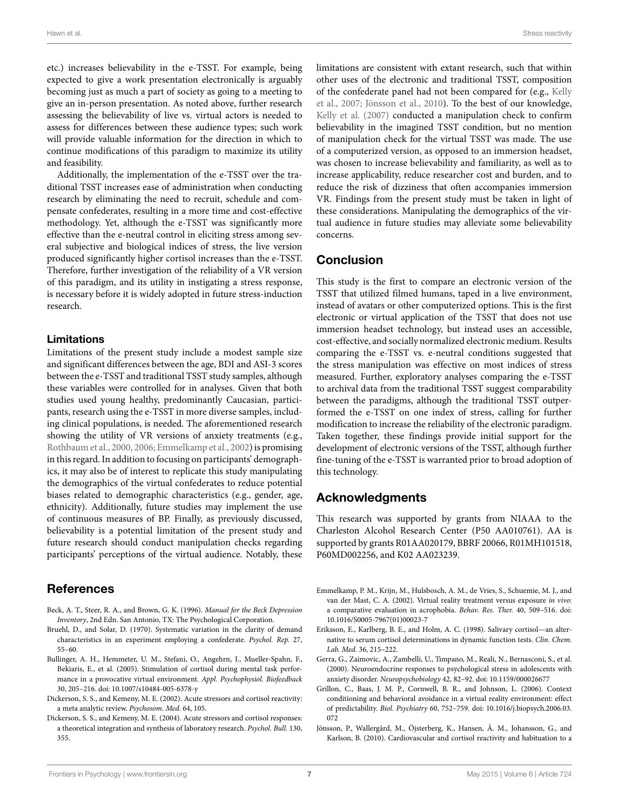etc.) increases believability in the e-TSST. For example, being expected to give a work presentation electronically is arguably becoming just as much a part of society as going to a meeting to give an in-person presentation. As noted above, further research assessing the believability of live vs. virtual actors is needed to assess for differences between these audience types; such work will provide valuable information for the direction in which to continue modifications of this paradigm to maximize its utility and feasibility.

Additionally, the implementation of the e-TSST over the traditional TSST increases ease of administration when conducting research by eliminating the need to recruit, schedule and compensate confederates, resulting in a more time and cost-effective methodology. Yet, although the e-TSST was significantly more effective than the e-neutral control in eliciting stress among several subjective and biological indices of stress, the live version produced significantly higher cortisol increases than the e-TSST. Therefore, further investigation of the reliability of a VR version of this paradigm, and its utility in instigating a stress response, is necessary before it is widely adopted in future stress-induction research.

## **Limitations**

Limitations of the present study include a modest sample size and significant differences between the age, BDI and ASI-3 scores between the e-TSST and traditional TSST study samples, although these variables were controlled for in analyses. Given that both studies used young healthy, predominantly Caucasian, participants, research using the e-TSST in more diverse samples, including clinical populations, is needed. The aforementioned research showing the utility of VR versions of anxiety treatments (e.g., [Rothbaum et al.,](#page-8-5) [2000,](#page-8-5) [2006](#page-8-7); [Emmelkamp et al.](#page-7-3), [2002\)](#page-7-3) is promising in this regard. In addition to focusing on participants' demographics, it may also be of interest to replicate this study manipulating the demographics of the virtual confederates to reduce potential biases related to demographic characteristics (e.g., gender, age, ethnicity). Additionally, future studies may implement the use of continuous measures of BP. Finally, as previously discussed, believability is a potential limitation of the present study and future research should conduct manipulation checks regarding participants' perceptions of the virtual audience. Notably, these

# **References**

- <span id="page-7-7"></span>Beck, A. T., Steer, R. A., and Brown, G. K. (1996). *Manual for the Beck Depression Inventory*, 2nd Edn. San Antonio, TX: The Psychological Corporation.
- <span id="page-7-2"></span>Bruehl, D., and Solar, D. (1970). Systematic variation in the clarity of demand characteristics in an experiment employing a confederate. *Psychol. Rep.* 27, 55–60.
- <span id="page-7-4"></span>Bullinger, A. H., Hemmeter, U. M., Stefani, O., Angehrn, I., Mueller-Spahn, F., Bekiaris, E., et al. (2005). Stimulation of cortisol during mental task performance in a provocative virtual environment. *Appl. Psychophysiol. Biofeedback* 30, 205–216. doi: 10.1007/s10484-005-6378-y
- <span id="page-7-1"></span>Dickerson, S. S., and Kemeny, M. E. (2002). Acute stressors and cortisol reactivity: a meta analytic review. *Psychosom. Med.* 64, 105.
- <span id="page-7-9"></span>Dickerson, S. S., and Kemeny, M. E. (2004). Acute stressors and cortisol responses: a theoretical integration and synthesis of laboratory research. *Psychol. Bull.* 130, 355.

limitations are consistent with extant research, such that within other uses of the electronic and traditional TSST, composition of the confederate panel had not been compared for (e.g., [Kelly](#page-8-10) [et al.](#page-8-10), [2007](#page-8-10); [Jönsson et al.,](#page-7-6) [2010](#page-7-6)). To the best of our knowledge, [Kelly et al.](#page-8-10) ([2007](#page-8-10)) conducted a manipulation check to confirm believability in the imagined TSST condition, but no mention of manipulation check for the virtual TSST was made. The use of a computerized version, as opposed to an immersion headset, was chosen to increase believability and familiarity, as well as to increase applicability, reduce researcher cost and burden, and to reduce the risk of dizziness that often accompanies immersion VR. Findings from the present study must be taken in light of these considerations. Manipulating the demographics of the virtual audience in future studies may alleviate some believability concerns.

# **Conclusion**

This study is the first to compare an electronic version of the TSST that utilized filmed humans, taped in a live environment, instead of avatars or other computerized options. This is the first electronic or virtual application of the TSST that does not use immersion headset technology, but instead uses an accessible, cost-effective, and socially normalized electronic medium. Results comparing the e-TSST vs. e-neutral conditions suggested that the stress manipulation was effective on most indices of stress measured. Further, exploratory analyses comparing the e-TSST to archival data from the traditional TSST suggest comparability between the paradigms, although the traditional TSST outperformed the e-TSST on one index of stress, calling for further modification to increase the reliability of the electronic paradigm. Taken together, these findings provide initial support for the development of electronic versions of the TSST, although further fine-tuning of the e-TSST is warranted prior to broad adoption of this technology.

### **Acknowledgments**

This research was supported by grants from NIAAA to the Charleston Alcohol Research Center (P50 AA010761). AA is supported by grants R01AA020179, BBRF 20066, R01MH101518, P60MD002256, and K02 AA023239.

- <span id="page-7-3"></span>Emmelkamp, P. M., Krijn, M., Hulsbosch, A. M., de Vries, S., Schuemie, M. J., and van der Mast, C. A. (2002). Virtual reality treatment versus exposure *in vivo*: a comparative evaluation in acrophobia. *Behav. Res. Ther.* 40, 509–516. doi: 10.1016/S0005-7967(01)00023-7
- <span id="page-7-8"></span>Eriksson, E., Karlberg, B. E., and Holm, A. C. (1998). Salivary cortisol—an alternative to serum cortisol determinations in dynamic function tests. *Clin. Chem. Lab. Med.* 36, 215–222.
- <span id="page-7-0"></span>Gerra, G., Zaimovic, A., Zambelli, U., Timpano, M., Reali, N., Bernasconi, S., et al. (2000). Neuroendocrine responses to psychological stress in adolescents with anxiety disorder. *Neuropsychobiology* 42, 82–92. doi: 10.1159/000026677
- <span id="page-7-5"></span>Grillon, C., Baas, J. M. P., Cornwell, B. R., and Johnson, L. (2006). Context conditioning and behavioral avoidance in a virtual reality environment: effect of predictability. *Biol. Psychiatry* 60, 752–759. doi: 10.1016/j.biopsych.2006.03. 072
- <span id="page-7-6"></span>Jönsson, P., Wallergård, M., Öjsterberg, K., Hansen, Å. M., Johansson, G., and Karlson, B. (2010). Cardiovascular and cortisol reactivity and habituation to a